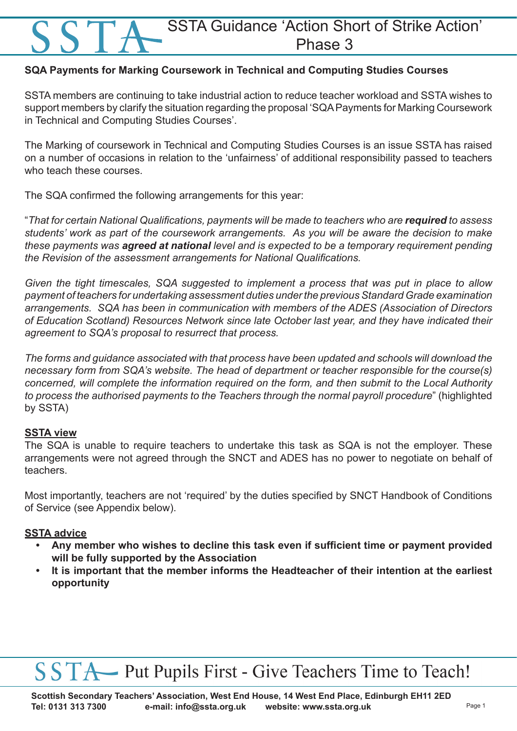### SSTA Guidance 'Action Short of Strike Action' Phase 3

#### **SQA Payments for Marking Coursework in Technical and Computing Studies Courses**

SSTA members are continuing to take industrial action to reduce teacher workload and SSTA wishes to support members by clarify the situation regarding the proposal 'SQA Payments for Marking Coursework in Technical and Computing Studies Courses'.

The Marking of coursework in Technical and Computing Studies Courses is an issue SSTA has raised on a number of occasions in relation to the 'unfairness' of additional responsibility passed to teachers who teach these courses.

The SQA confirmed the following arrangements for this year:

"*That for certain National Qualifications, payments will be made to teachers who are required to assess students' work as part of the coursework arrangements. As you will be aware the decision to make these payments was agreed at national level and is expected to be a temporary requirement pending the Revision of the assessment arrangements for National Qualifications.*

*Given the tight timescales, SQA suggested to implement a process that was put in place to allow payment of teachers for undertaking assessment duties under the previous Standard Grade examination arrangements. SQA has been in communication with members of the ADES (Association of Directors of Education Scotland) Resources Network since late October last year, and they have indicated their agreement to SQA's proposal to resurrect that process.* 

*The forms and guidance associated with that process have been updated and schools will download the necessary form from SQA's website. The head of department or teacher responsible for the course(s) concerned, will complete the information required on the form, and then submit to the Local Authority to process the authorised payments to the Teachers through the normal payroll procedure*" (highlighted by SSTA)

#### **SSTA view**

The SQA is unable to require teachers to undertake this task as SQA is not the employer. These arrangements were not agreed through the SNCT and ADES has no power to negotiate on behalf of teachers.

Most importantly, teachers are not 'required' by the duties specified by SNCT Handbook of Conditions of Service (see Appendix below).

#### **SSTA advice**

- **• Any member who wishes to decline this task even if sufficient time or payment provided will be fully supported by the Association**
- **• It is important that the member informs the Headteacher of their intention at the earliest opportunity**

## SSTA Put Pupils First - Give Teachers Time to Teach!